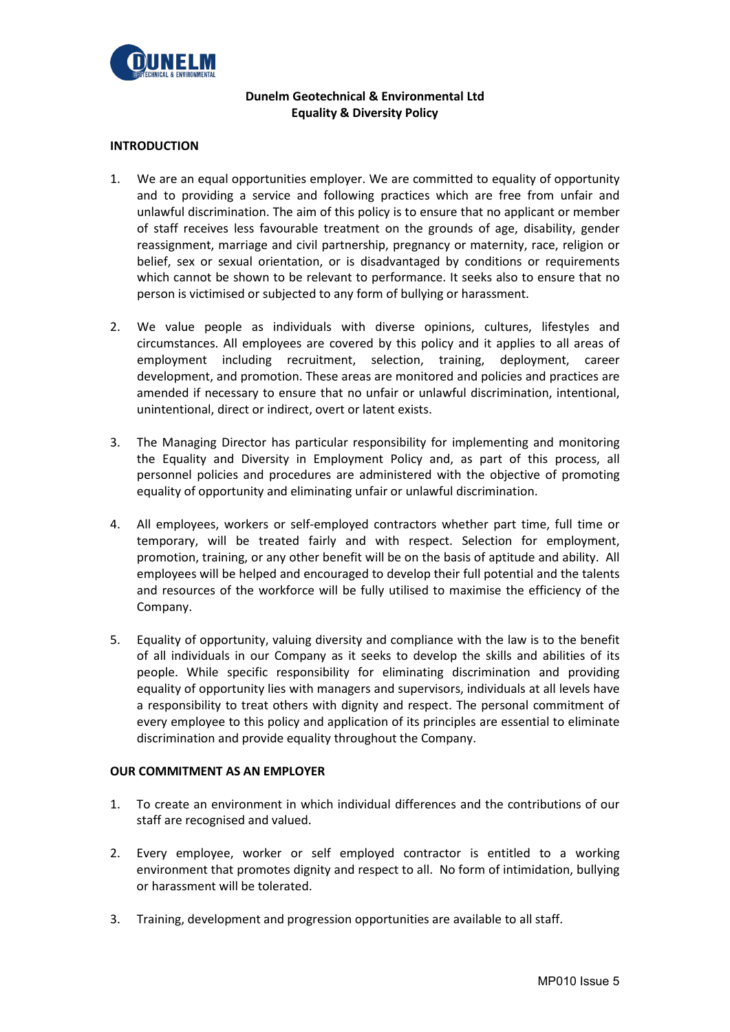

# **Dunelm Geotechnical & Environmental Ltd Equality & Diversity Policy**

# **INTRODUCTION**

- 1. We are an equal opportunities employer. We are committed to equality of opportunity and to providing a service and following practices which are free from unfair and unlawful discrimination. The aim of this policy is to ensure that no applicant or member of staff receives less favourable treatment on the grounds of age, disability, gender reassignment, marriage and civil partnership, pregnancy or maternity, race, religion or belief, sex or sexual orientation, or is disadvantaged by conditions or requirements which cannot be shown to be relevant to performance. It seeks also to ensure that no person is victimised or subjected to any form of bullying or harassment.
- 2. We value people as individuals with diverse opinions, cultures, lifestyles and circumstances. All employees are covered by this policy and it applies to all areas of employment including recruitment, selection, training, deployment, career development, and promotion. These areas are monitored and policies and practices are amended if necessary to ensure that no unfair or unlawful discrimination, intentional, unintentional, direct or indirect, overt or latent exists.
- 3. The Managing Director has particular responsibility for implementing and monitoring the Equality and Diversity in Employment Policy and, as part of this process, all personnel policies and procedures are administered with the objective of promoting equality of opportunity and eliminating unfair or unlawful discrimination.
- 4. All employees, workers or self-employed contractors whether part time, full time or temporary, will be treated fairly and with respect. Selection for employment, promotion, training, or any other benefit will be on the basis of aptitude and ability. All employees will be helped and encouraged to develop their full potential and the talents and resources of the workforce will be fully utilised to maximise the efficiency of the Company.
- 5. Equality of opportunity, valuing diversity and compliance with the law is to the benefit of all individuals in our Company as it seeks to develop the skills and abilities of its people. While specific responsibility for eliminating discrimination and providing equality of opportunity lies with managers and supervisors, individuals at all levels have a responsibility to treat others with dignity and respect. The personal commitment of every employee to this policy and application of its principles are essential to eliminate discrimination and provide equality throughout the Company.

# **OUR COMMITMENT AS AN EMPLOYER**

- 1. To create an environment in which individual differences and the contributions of our staff are recognised and valued.
- 2. Every employee, worker or self employed contractor is entitled to a working environment that promotes dignity and respect to all. No form of intimidation, bullying or harassment will be tolerated.
- 3. Training, development and progression opportunities are available to all staff.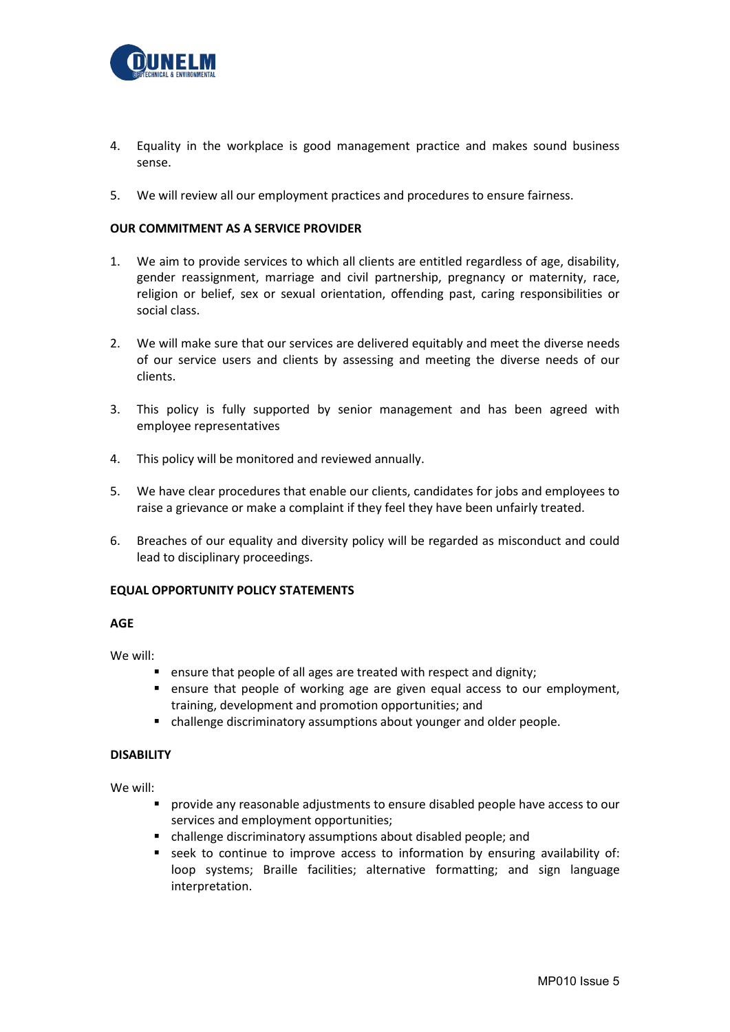

- 4. Equality in the workplace is good management practice and makes sound business sense.
- 5. We will review all our employment practices and procedures to ensure fairness.

# **OUR COMMITMENT AS A SERVICE PROVIDER**

- 1. We aim to provide services to which all clients are entitled regardless of age, disability, gender reassignment, marriage and civil partnership, pregnancy or maternity, race, religion or belief, sex or sexual orientation, offending past, caring responsibilities or social class.
- 2. We will make sure that our services are delivered equitably and meet the diverse needs of our service users and clients by assessing and meeting the diverse needs of our clients.
- 3. This policy is fully supported by senior management and has been agreed with employee representatives
- 4. This policy will be monitored and reviewed annually.
- 5. We have clear procedures that enable our clients, candidates for jobs and employees to raise a grievance or make a complaint if they feel they have been unfairly treated.
- 6. Breaches of our equality and diversity policy will be regarded as misconduct and could lead to disciplinary proceedings.

### **EQUAL OPPORTUNITY POLICY STATEMENTS**

# **AGE**

We will:

- **E** ensure that people of all ages are treated with respect and dignity;
- ensure that people of working age are given equal access to our employment, training, development and promotion opportunities; and
- challenge discriminatory assumptions about younger and older people.

### **DISABILITY**

We will:

- provide any reasonable adjustments to ensure disabled people have access to our services and employment opportunities;
- challenge discriminatory assumptions about disabled people; and
- seek to continue to improve access to information by ensuring availability of: loop systems; Braille facilities; alternative formatting; and sign language interpretation.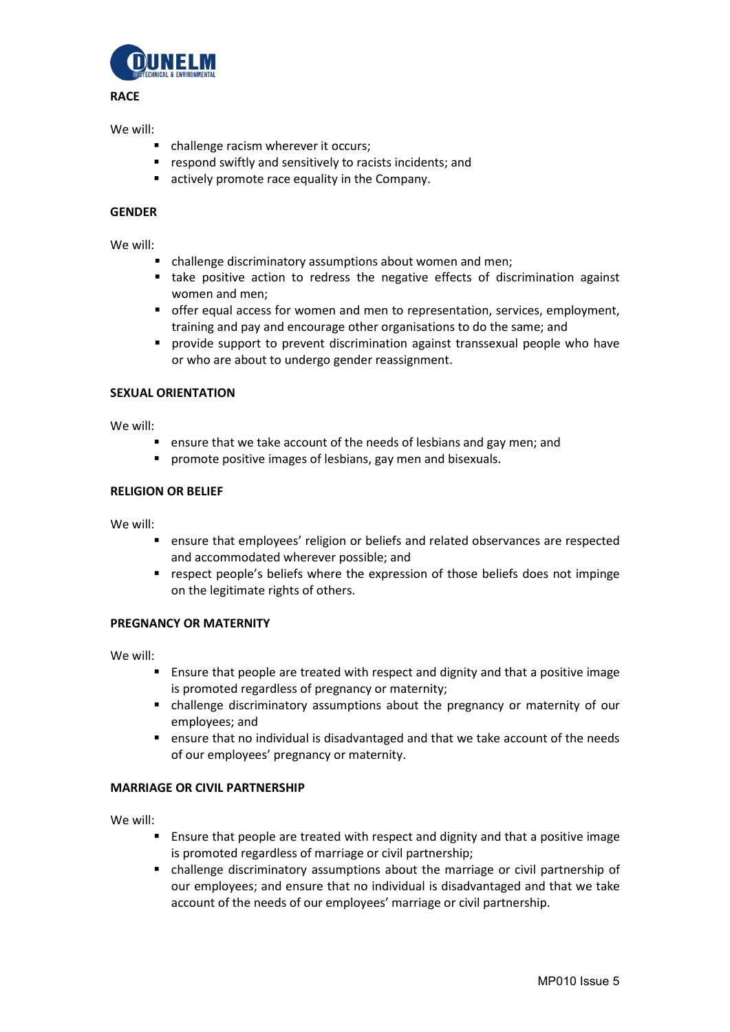

### **RACE**

### We will:

- challenge racism wherever it occurs;
- **F** respond swiftly and sensitively to racists incidents; and
- **E** actively promote race equality in the Company.

# **GENDER**

We will:

- challenge discriminatory assumptions about women and men;
- take positive action to redress the negative effects of discrimination against women and men;
- offer equal access for women and men to representation, services, employment, training and pay and encourage other organisations to do the same; and
- provide support to prevent discrimination against transsexual people who have or who are about to undergo gender reassignment.

# **SEXUAL ORIENTATION**

We will:

- **E** ensure that we take account of the needs of lesbians and gay men; and
- **P** promote positive images of lesbians, gay men and bisexuals.

### **RELIGION OR BELIEF**

We will:

- ensure that employees' religion or beliefs and related observances are respected and accommodated wherever possible; and
- respect people's beliefs where the expression of those beliefs does not impinge on the legitimate rights of others.

# **PREGNANCY OR MATERNITY**

We will:

- Ensure that people are treated with respect and dignity and that a positive image is promoted regardless of pregnancy or maternity;
- challenge discriminatory assumptions about the pregnancy or maternity of our employees; and
- ensure that no individual is disadvantaged and that we take account of the needs of our employees' pregnancy or maternity.

# **MARRIAGE OR CIVIL PARTNERSHIP**

We will:

- Ensure that people are treated with respect and dignity and that a positive image is promoted regardless of marriage or civil partnership;
- challenge discriminatory assumptions about the marriage or civil partnership of our employees; and ensure that no individual is disadvantaged and that we take account of the needs of our employees' marriage or civil partnership.